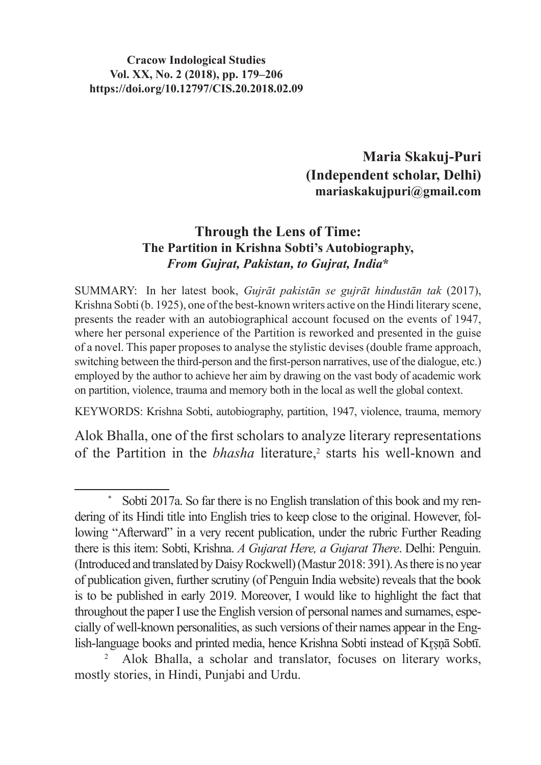## **Cracow Indological Studies Vol. XX, No. 2 (2018), pp. 179–206 https://doi.org/10.12797/CIS.20.2018.02.09**

**Maria Skakuj-Puri (Independent scholar, Delhi) mariaskakujpuri@gmail.com**

## **Through the Lens of Time: The Partition in Krishna Sobti's Autobiography,**  *From Gujrat, Pakistan, to Gujrat, India***\***

SUMMARY: In her latest book, *Gujrāt pakistān se gujrāt hindustān tak* (2017), Krishna Sobti(b. 1925), one of the best-known writers active on the Hindi literary scene, presents the reader with an autobiographical account focused on the events of 1947, where her personal experience of the Partition is reworked and presented in the guise of a novel. This paper proposes to analyse the stylistic devises (double frame approach, switching between the third-person and the first-person narratives, use of the dialogue, etc.) employed by the author to achieve her aim by drawing on the vast body of academic work on partition, violence, trauma and memory both in the local as well the global context.

KEYWORDS: Krishna Sobti, autobiography, partition, 1947, violence, trauma, memory

Alok Bhalla, one of the first scholars to analyze literary representations of the Partition in the *bhasha* literature,<sup>2</sup> starts his well-known and

Sobti 2017a. So far there is no English translation of this book and my rendering of its Hindi title into English tries to keep close to the original. However, following "Afterward" in a very recent publication, under the rubric Further Reading there is this item: Sobti, Krishna. *A Gujarat Here, a Gujarat There*. Delhi: Penguin. (Introduced and translated byDaisyRockwell)(Mastur 2018: 391).Asthere is no year of publication given, further scrutiny (of Penguin India website) reveals that the book is to be published in early 2019. Moreover, I would like to highlight the fact that throughout the paper I use the English version of personal names and surnames, especially of well-known personalities, as such versions of their names appear in the English-language books and printed media, hence Krishna Sobti instead of Krsnā Sobtī.

<sup>2</sup> Alok Bhalla, a scholar and translator, focuses on literary works, mostly stories, in Hindi, Punjabi and Urdu.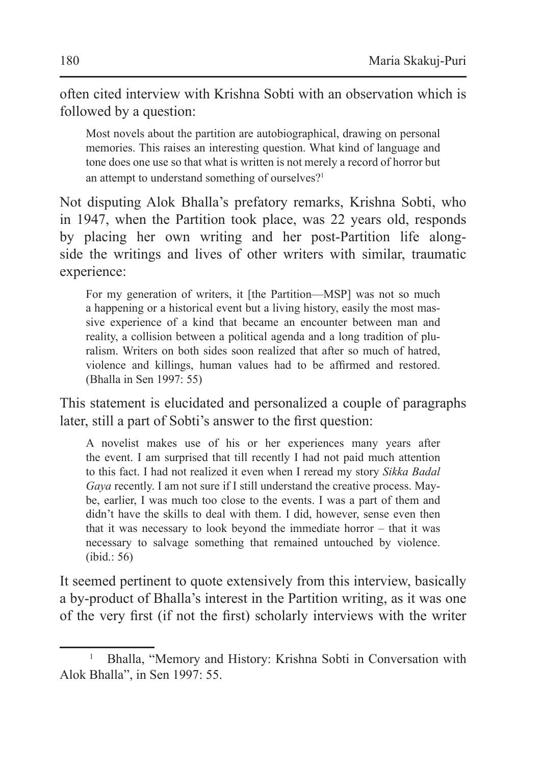often cited interview with Krishna Sobti with an observation which is followed by a question:

Most novels about the partition are autobiographical, drawing on personal memories. This raises an interesting question. What kind of language and tone does one use so that what is written is not merely a record of horror but an attempt to understand something of ourselves?<sup>1</sup>

Not disputing Alok Bhalla's prefatory remarks, Krishna Sobti, who in 1947, when the Partition took place, was 22 years old, responds by placing her own writing and her post-Partition life alongside the writings and lives of other writers with similar, traumatic experience:

For my generation of writers, it [the Partition—MSP] was not so much a happening or a historical event but a living history, easily the most massive experience of a kind that became an encounter between man and reality, a collision between a political agenda and a long tradition of pluralism. Writers on both sides soon realized that after so much of hatred, violence and killings, human values had to be affirmed and restored. (Bhalla in Sen 1997: 55)

This statement is elucidated and personalized a couple of paragraphs later, still a part of Sobti's answer to the first question:

A novelist makes use of his or her experiences many years after the event. I am surprised that till recently I had not paid much attention to this fact. I had not realized it even when I reread my story *Sikka Badal Gaya* recently. I am not sure if I still understand the creative process. Maybe, earlier, I was much too close to the events. I was a part of them and didn't have the skills to deal with them. I did, however, sense even then that it was necessary to look beyond the immediate horror – that it was necessary to salvage something that remained untouched by violence. (ibid.: 56)

It seemed pertinent to quote extensively from this interview, basically a by-product of Bhalla's interest in the Partition writing, as it was one of the very first (if not the first) scholarly interviews with the writer

<sup>&</sup>lt;sup>1</sup> Bhalla, "Memory and History: Krishna Sobti in Conversation with Alok Bhalla", in Sen 1997: 55.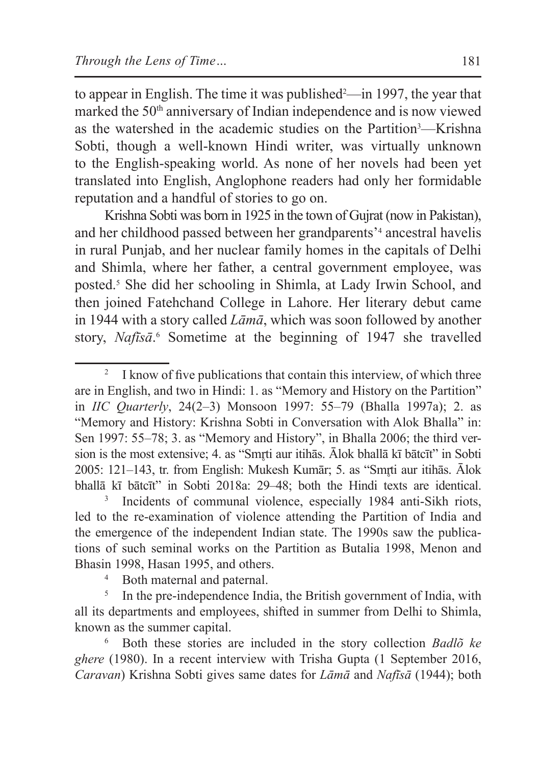to appear in English. The time it was published<sup>2</sup>—in 1997, the year that marked the 50<sup>th</sup> anniversary of Indian independence and is now viewed as the watershed in the academic studies on the Partition<sup>3</sup>—Krishna Sobti, though a well-known Hindi writer, was virtually unknown to the English-speaking world. As none of her novels had been yet translated into English, Anglophone readers had only her formidable reputation and a handful of stories to go on.

Krishna Sobti was born in 1925 in the town of Gujrat (now in Pakistan), and her childhood passed between her grandparents'4 ancestral havelis in rural Punjab, and her nuclear family homes in the capitals of Delhi and Shimla, where her father, a central government employee, was posted.5 She did her schooling in Shimla, at Lady Irwin School, and then joined Fatehchand College in Lahore. Her literary debut came in 1944 with a story called *Lāmā*, which was soon followed by another story, *Nafīsā*. 6 Sometime at the beginning of 1947 she travelled

Incidents of communal violence, especially 1984 anti-Sikh riots, led to the re-examination of violence attending the Partition of India and the emergence of the independent Indian state. The 1990s saw the publications of such seminal works on the Partition as Butalia 1998, Menon and Bhasin 1998, Hasan 1995, and others.

<sup>5</sup> In the pre-independence India, the British government of India, with all its departments and employees, shifted in summer from Delhi to Shimla, known as the summer capital.

<sup>6</sup> Both these stories are included in the story collection *Badlõ ke ghere* (1980). In a recent interview with Trisha Gupta (1 September 2016, *Caravan*) Krishna Sobti gives same dates for *Lāmā* and *Nafīsā* (1944); both

<sup>&</sup>lt;sup>2</sup> I know of five publications that contain this interview, of which three are in English, and two in Hindi: 1. as "Memory and History on the Partition" in *IIC Quarterly*, 24(2–3) Monsoon 1997: 55–79 (Bhalla 1997a); 2. as "Memory and History: Krishna Sobti in Conversation with Alok Bhalla" in: Sen 1997: 55–78; 3. as "Memory and History", in Bhalla 2006; the third version is the most extensive; 4. as "Smrti aur itihās. Ālok bhallā kī bātcīt" in Sobti 2005: 121–143, tr. from English: Mukesh Kumār; 5. as "Smrti aur itihās. Ālok bhallā kī bātcīt" in Sobti 2018a: 29–48; both the Hindi texts are identical.

<sup>4</sup> Both maternal and paternal.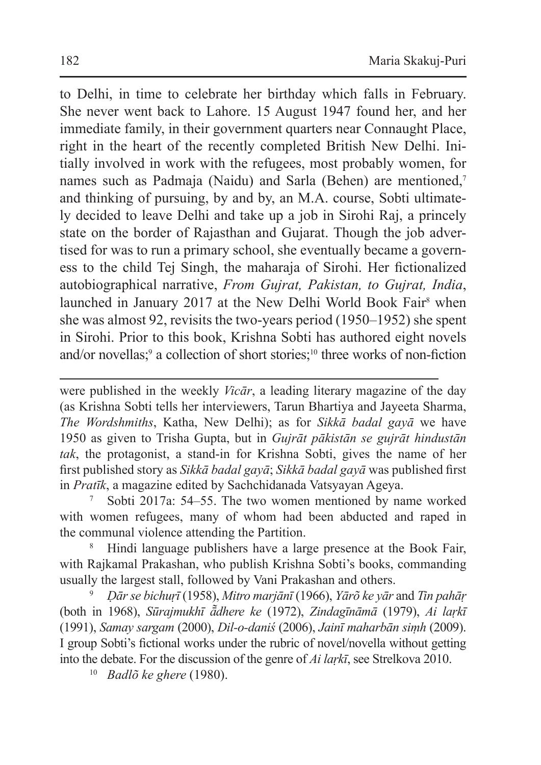to Delhi, in time to celebrate her birthday which falls in February. She never went back to Lahore. 15 August 1947 found her, and her immediate family, in their government quarters near Connaught Place, right in the heart of the recently completed British New Delhi. Initially involved in work with the refugees, most probably women, for names such as Padmaja (Naidu) and Sarla (Behen) are mentioned,<sup>7</sup> and thinking of pursuing, by and by, an M.A. course, Sobti ultimately decided to leave Delhi and take up a job in Sirohi Raj, a princely state on the border of Rajasthan and Gujarat. Though the job advertised for was to run a primary school, she eventually became a governess to the child Tej Singh, the maharaja of Sirohi. Her fictionalized autobiographical narrative, *From Gujrat, Pakistan, to Gujrat, India*, launched in January 2017 at the New Delhi World Book Fair<sup>8</sup> when she was almost 92, revisits the two-years period (1950–1952) she spent in Sirohi. Prior to this book, Krishna Sobti has authored eight novels and/or novellas;<sup>9</sup> a collection of short stories;<sup>10</sup> three works of non-fiction

were published in the weekly *Vicār*, a leading literary magazine of the day (as Krishna Sobti tells her interviewers, Tarun Bhartiya and Jayeeta Sharma, *The Wordshmiths*, Katha, New Delhi); as for *Sikkā badal gayā* we have 1950 as given to Trisha Gupta, but in *Gujrāt pākistān se gujrāt hindustān tak*, the protagonist, a stand-in for Krishna Sobti, gives the name of her first published story as *Sikkā badal gayā*; *Sikkā badal gayā* was published first in *Pratīk*, a magazine edited by Sachchidanada Vatsyayan Ageya.

Sobti 2017a: 54–55. The two women mentioned by name worked with women refugees, many of whom had been abducted and raped in the communal violence attending the Partition.

<sup>8</sup> Hindi language publishers have a large presence at the Book Fair, with Rajkamal Prakashan, who publish Krishna Sobti's books, commanding usually the largest stall, followed by Vani Prakashan and others.

<sup>9</sup> *Ḍār se bichuṛī* (1958), *Mitro marjānī* (1966), *Yārõ ke yār* and *Tin pahāṛ* (both in 1968), *Sūrajmukhī ā͂dhere ke* (1972), *Zindagīnāmā* (1979), *Ai laṛkī*  (1991), *Samay sargam* (2000), *Dil-o-daniś* (2006), *Jainī maharbān siṃh* (2009). I group Sobti's fictional works under the rubric of novel/novella without getting into the debate. For the discussion of the genre of *Ai laṛkī*, see Strelkova 2010.

<sup>10</sup> *Badlõ ke ghere* (1980).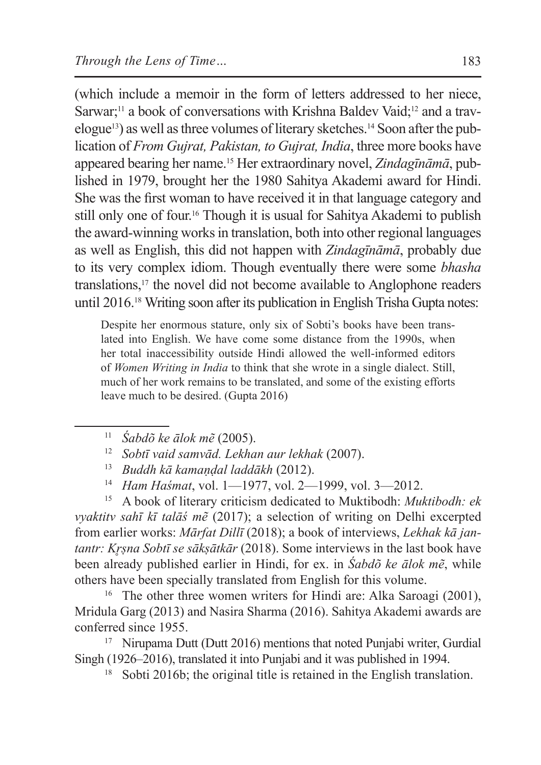(which include a memoir in the form of letters addressed to her niece, Sarwar;<sup>11</sup> a book of conversations with Krishna Baldev Vaid;<sup>12</sup> and a travelogue13) as well asthree volumes of literary sketches.14 Soon after the publication of *From Gujrat, Pakistan, to Gujrat, India*, three more books have appeared bearing her name.15 Her extraordinary novel, *Zindagīnāmā*, published in 1979, brought her the 1980 Sahitya Akademi award for Hindi. She was the first woman to have received it in that language category and still only one of four.16 Though it is usual for Sahitya Akademi to publish the award-winning works in translation, both into other regional languages as well as English, this did not happen with *Zindagīnāmā*, probably due to its very complex idiom. Though eventually there were some *bhasha* translations,17 the novel did not become available to Anglophone readers until 2016.18 Writing soon after its publication in English Trisha Gupta notes:

Despite her enormous stature, only six of Sobti's books have been translated into English. We have come some distance from the 1990s, when her total inaccessibility outside Hindi allowed the well-informed editors of *Women Writing in India* to think that she wrote in a single dialect. Still, much of her work remains to be translated, and some of the existing efforts leave much to be desired. (Gupta 2016)

<sup>15</sup> A book of literary criticism dedicated to Muktibodh: *Muktibodh: ek vyaktitv sahī kī talāś mẽ* (2017); a selection of writing on Delhi excerpted from earlier works: *Mārfat Dillī* (2018); a book of interviews, *Lekhak kā jantantr: Kr̥ṣna Sobtī se sākṣātkār* (2018). Some interviews in the last book have been already published earlier in Hindi, for ex. in *Śabdõ ke ālok mẽ*, while others have been specially translated from English for this volume.

<sup>16</sup> The other three women writers for Hindi are: Alka Saroagi (2001), Mridula Garg (2013) and Nasira Sharma (2016). Sahitya Akademi awards are conferred since 1955.

<sup>17</sup> Nirupama Dutt (Dutt 2016) mentions that noted Punjabi writer, Gurdial Singh (1926–2016), translated it into Punjabi and it was published in 1994.

<sup>18</sup> Sobti 2016b; the original title is retained in the English translation.

<sup>11</sup> *Śabdõ ke ālok mẽ* (2005).

<sup>12</sup> *Sobtī vaid samvād. Lekhan aur lekhak* (2007).

<sup>13</sup> *Buddh kā kamaṇḍal laddākh* (2012).

<sup>14</sup> *Ham Haśmat*, vol. 1—1977, vol. 2—1999, vol. 3—2012.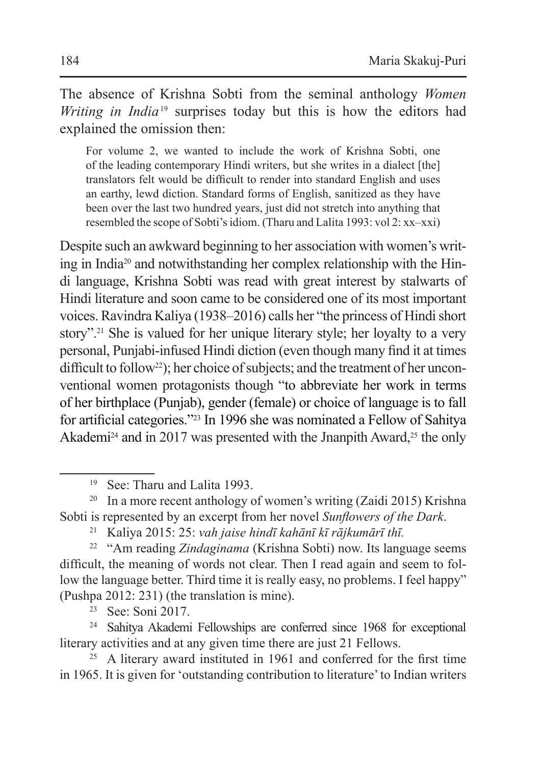The absence of Krishna Sobti from the seminal anthology *Women Writing in India*<sup>19</sup> surprises today but this is how the editors had explained the omission then:

For volume 2, we wanted to include the work of Krishna Sobti, one of the leading contemporary Hindi writers, but she writes in a dialect [the] translators felt would be difficult to render into standard English and uses an earthy, lewd diction. Standard forms of English, sanitized as they have been over the last two hundred years, just did not stretch into anything that resembled the scope of Sobti'sidiom. (Tharu and Lalita 1993: vol 2: xx–xxi)

Despite such an awkward beginning to her association with women's writing in India<sup>20</sup> and notwithstanding her complex relationship with the Hindi language, Krishna Sobti was read with great interest by stalwarts of Hindi literature and soon came to be considered one of its most important voices. Ravindra Kaliya (1938–2016) calls her "the princess of Hindi short story".<sup>21</sup> She is valued for her unique literary style; her loyalty to a very personal, Punjabi-infused Hindi diction (even though many find it at times difficult to follow<sup>22</sup>); her choice of subjects; and the treatment of her unconventional women protagonists though "to abbreviate her work in terms of her birthplace (Punjab), gender (female) or choice of language is to fall for artificial categories."23 In 1996 she was nominated a Fellow of Sahitya Akademi<sup>24</sup> and in 2017 was presented with the Jnanpith Award,<sup>25</sup> the only

<sup>23</sup> See: Soni 2017.

<sup>24</sup> Sahitya Akademi Fellowships are conferred since 1968 for exceptional literary activities and at any given time there are just 21 Fellows.

<sup>25</sup> A literary award instituted in 1961 and conferred for the first time in 1965. It is given for 'outstanding contribution to literature'to Indian writers

<sup>19</sup> See: Tharu and Lalita 1993.

<sup>&</sup>lt;sup>20</sup> In a more recent anthology of women's writing (Zaidi 2015) Krishna Sobti is represented by an excerpt from her novel *Sunflowers of the Dark*.

<sup>21</sup> Kaliya 2015: 25: *vah jaise hindī kahānī kī rājkumārī thī.*

<sup>22</sup> "Am reading *Zindaginama* (Krishna Sobti) now. Its language seems difficult, the meaning of words not clear. Then I read again and seem to follow the language better. Third time it is really easy, no problems. I feel happy" (Pushpa 2012: 231) (the translation is mine).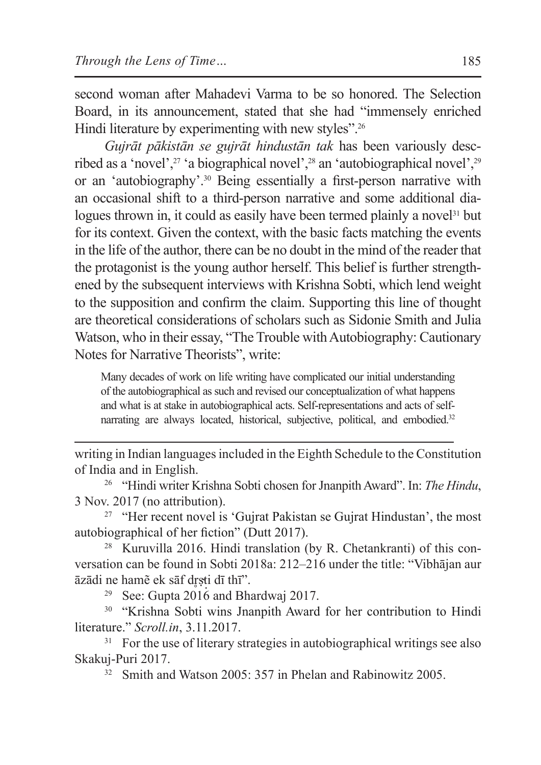second woman after Mahadevi Varma to be so honored. The Selection Board, in its announcement, stated that she had "immensely enriched Hindi literature by experimenting with new styles".<sup>26</sup>

*Gujrāt pākistān se gujrāt hindustān tak* has been variously described as a 'novel',<sup>27</sup> 'a biographical novel',<sup>28</sup> an 'autobiographical novel',<sup>29</sup> or an 'autobiography'.<sup>30</sup> Being essentially a first-person narrative with an occasional shift to a third-person narrative and some additional dialogues thrown in, it could as easily have been termed plainly a novel<sup>31</sup> but for its context. Given the context, with the basic facts matching the events in the life of the author, there can be no doubt in the mind of the reader that the protagonist is the young author herself. This belief is further strengthened by the subsequent interviews with Krishna Sobti, which lend weight to the supposition and confirm the claim. Supporting this line of thought are theoretical considerations of scholars such as Sidonie Smith and Julia Watson, who in their essay, "The Trouble with Autobiography: Cautionary Notes for Narrative Theorists", write:

Many decades of work on life writing have complicated our initial understanding of the autobiographical as such and revised our conceptualization of what happens and what is at stake in autobiographical acts. Self-representations and acts of selfnarrating are always located, historical, subjective, political, and embodied.<sup>32</sup>

writing in Indian languages included in the Eighth Schedule to the Constitution of India and in English. 26 "Hindi writer Krishna Sobti chosen forJnanpithAward". In: *The Hindu*,

3 Nov. 2017 (no attribution).

<sup>27</sup> "Her recent novel is 'Gujrat Pakistan se Gujrat Hindustan', the most autobiographical of her fiction" (Dutt 2017).

<sup>28</sup> Kuruvilla 2016. Hindi translation (by R. Chetankranti) of this conversation can be found in Sobti 2018a: 212–216 under the title: "Vibhājan aur āzādi ne hamē ek sāf drsti dī thī".

<sup>29</sup> See: Gupta 2016 and Bhardwaj 2017.

<sup>30</sup> "Krishna Sobti wins Jnanpith Award for her contribution to Hindi literature." *Scroll.in*, 3.11.2017.

<sup>31</sup> For the use of literary strategies in autobiographical writings see also Skakuj-Puri 2017.

<sup>32</sup> Smith and Watson 2005: 357 in Phelan and Rabinowitz 2005.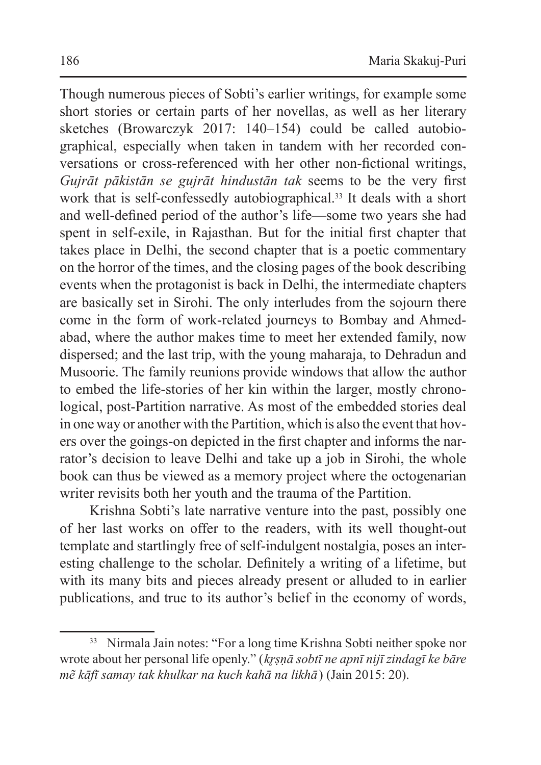Though numerous pieces of Sobti's earlier writings, for example some short stories or certain parts of her novellas, as well as her literary sketches (Browarczyk 2017: 140–154) could be called autobiographical, especially when taken in tandem with her recorded conversations or cross-referenced with her other non-fictional writings, *Gujrāt pākistān se gujrāt hindustān tak* seems to be the very first work that is self-confessedly autobiographical.<sup>33</sup> It deals with a short and well-defined period of the author's life—some two years she had spent in self-exile, in Rajasthan. But for the initial first chapter that takes place in Delhi, the second chapter that is a poetic commentary on the horror of the times, and the closing pages of the book describing events when the protagonist is back in Delhi, the intermediate chapters are basically set in Sirohi. The only interludes from the sojourn there come in the form of work-related journeys to Bombay and Ahmedabad, where the author makes time to meet her extended family, now dispersed; and the last trip, with the young maharaja, to Dehradun and Musoorie. The family reunions provide windows that allow the author to embed the life-stories of her kin within the larger, mostly chronological, post-Partition narrative. As most of the embedded stories deal in one way or another with the Partition, which is also the event that hovers over the goings-on depicted in the first chapter and informs the narrator's decision to leave Delhi and take up a job in Sirohi, the whole book can thus be viewed as a memory project where the octogenarian writer revisits both her youth and the trauma of the Partition.

Krishna Sobti's late narrative venture into the past, possibly one of her last works on offer to the readers, with its well thought-out template and startlingly free of self-indulgent nostalgia, poses an interesting challenge to the scholar. Definitely a writing of a lifetime, but with its many bits and pieces already present or alluded to in earlier publications, and true to its author's belief in the economy of words,

<sup>&</sup>lt;sup>33</sup> Nirmala Jain notes: "For a long time Krishna Sobti neither spoke nor wrote about her personal life openly." (*kr̥ṣṇā sobtī ne apnī nijī zindagī ke bāre mẽ kāfī samay tak khulkar na kuch kahā na likhā*) (Jain 2015: 20).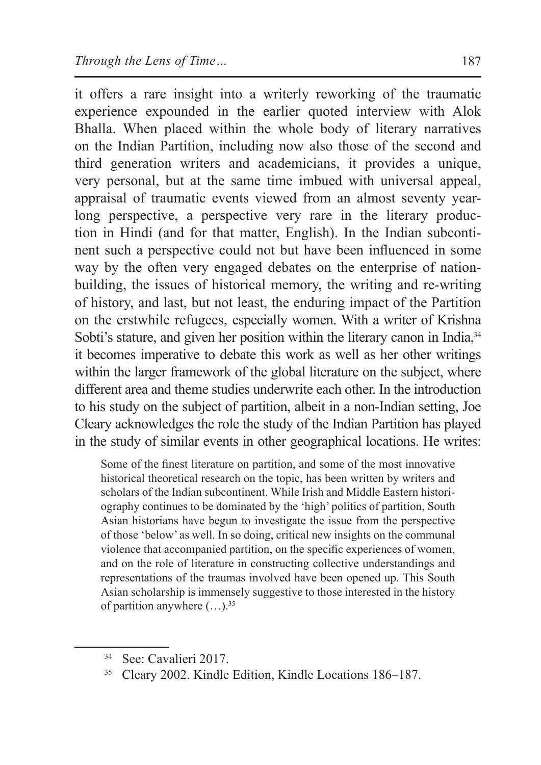it offers a rare insight into a writerly reworking of the traumatic experience expounded in the earlier quoted interview with Alok Bhalla. When placed within the whole body of literary narratives on the Indian Partition, including now also those of the second and third generation writers and academicians, it provides a unique, very personal, but at the same time imbued with universal appeal, appraisal of traumatic events viewed from an almost seventy yearlong perspective, a perspective very rare in the literary production in Hindi (and for that matter, English). In the Indian subcontinent such a perspective could not but have been influenced in some way by the often very engaged debates on the enterprise of nationbuilding, the issues of historical memory, the writing and re-writing of history, and last, but not least, the enduring impact of the Partition on the erstwhile refugees, especially women. With a writer of Krishna Sobti's stature, and given her position within the literary canon in India, 34 it becomes imperative to debate this work as well as her other writings within the larger framework of the global literature on the subject, where different area and theme studies underwrite each other. In the introduction to his study on the subject of partition, albeit in a non-Indian setting, Joe Cleary acknowledges the role the study of the Indian Partition has played in the study of similar events in other geographical locations. He writes:

Some of the finest literature on partition, and some of the most innovative historical theoretical research on the topic, has been written by writers and scholars of the Indian subcontinent. While Irish and Middle Eastern historiography continues to be dominated by the 'high' politics of partition, South Asian historians have begun to investigate the issue from the perspective of those 'below' as well. In so doing, critical new insights on the communal violence that accompanied partition, on the specific experiences of women, and on the role of literature in constructing collective understandings and representations of the traumas involved have been opened up. This South Asian scholarship is immensely suggestive to those interested in the history of partition anywhere  $(\ldots)^{35}$ 

<sup>&</sup>lt;sup>34</sup> See: Cavalieri 2017.<br><sup>35</sup> Cleary 2002. Kindle Edition, Kindle Locations 186–187.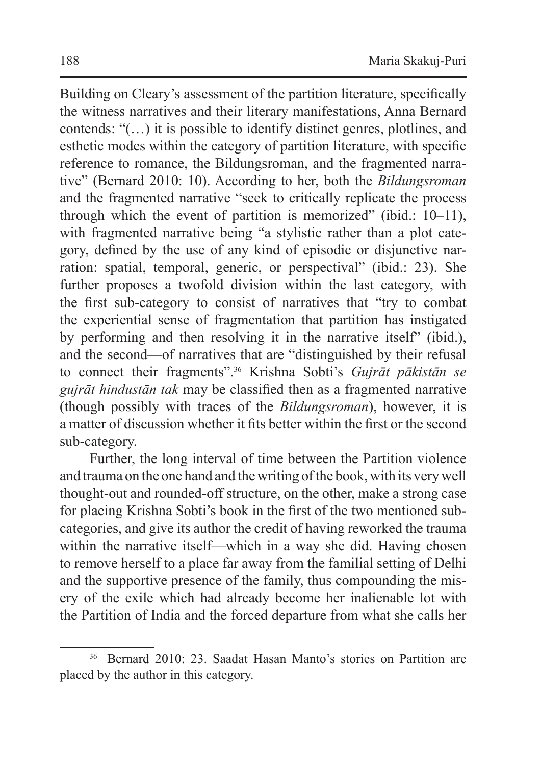Building on Cleary's assessment of the partition literature, specifically the witness narratives and their literary manifestations, Anna Bernard contends: "(…) it is possible to identify distinct genres, plotlines, and esthetic modes within the category of partition literature, with specific reference to romance, the Bildungsroman, and the fragmented narrative" (Bernard 2010: 10). According to her, both the *Bildungsroman*  and the fragmented narrative "seek to critically replicate the process through which the event of partition is memorized" (ibid.: 10–11), with fragmented narrative being "a stylistic rather than a plot category, defined by the use of any kind of episodic or disjunctive narration: spatial, temporal, generic, or perspectival" (ibid.: 23). She further proposes a twofold division within the last category, with the first sub-category to consist of narratives that "try to combat the experiential sense of fragmentation that partition has instigated by performing and then resolving it in the narrative itself" (ibid.), and the second—of narratives that are "distinguished by their refusal to connect their fragments".<sup>36</sup> Krishna Sobti's *Gujrāt pākistān se gujrāt hindustān tak* may be classified then as a fragmented narrative (though possibly with traces of the *Bildungsroman*), however, it is a matter of discussion whether it fits better within the first or the second sub-category.

Further, the long interval of time between the Partition violence and trauma on the one hand and the writing of the book, with its very well thought-out and rounded-off structure, on the other, make a strong case for placing Krishna Sobti's book in the first of the two mentioned subcategories, and give its author the credit of having reworked the trauma within the narrative itself—which in a way she did. Having chosen to remove herself to a place far away from the familial setting of Delhi and the supportive presence of the family, thus compounding the misery of the exile which had already become her inalienable lot with the Partition of India and the forced departure from what she calls her

<sup>36</sup> Bernard 2010: 23. Saadat Hasan Manto's stories on Partition are placed by the author in this category.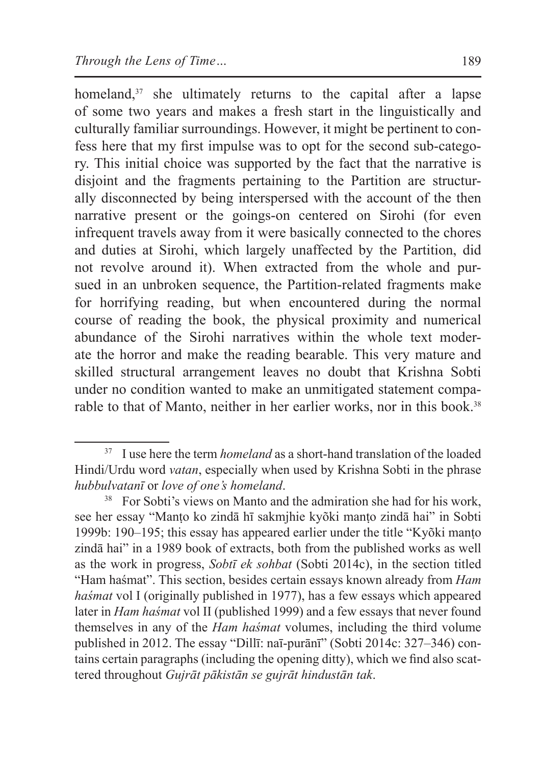homeland,<sup>37</sup> she ultimately returns to the capital after a lapse of some two years and makes a fresh start in the linguistically and culturally familiar surroundings. However, it might be pertinent to confess here that my first impulse was to opt for the second sub-category. This initial choice was supported by the fact that the narrative is disjoint and the fragments pertaining to the Partition are structurally disconnected by being interspersed with the account of the then narrative present or the goings-on centered on Sirohi (for even infrequent travels away from it were basically connected to the chores and duties at Sirohi, which largely unaffected by the Partition, did not revolve around it). When extracted from the whole and pursued in an unbroken sequence, the Partition-related fragments make for horrifying reading, but when encountered during the normal course of reading the book, the physical proximity and numerical abundance of the Sirohi narratives within the whole text moderate the horror and make the reading bearable. This very mature and skilled structural arrangement leaves no doubt that Krishna Sobti under no condition wanted to make an unmitigated statement comparable to that of Manto, neither in her earlier works, nor in this book.<sup>38</sup>

<sup>&</sup>lt;sup>37</sup> I use here the term *homeland* as a short-hand translation of the loaded Hindi/Urdu word *vatan*, especially when used by Krishna Sobti in the phrase *hubbulvatanī* or *love of one's homeland*.

<sup>&</sup>lt;sup>38</sup> For Sobti's views on Manto and the admiration she had for his work, see her essay "Manṭo ko zindā hī sakmjhie kyõki manṭo zindā hai" in Sobti 1999b: 190–195; this essay has appeared earlier under the title "Kyõki manṭo zindā hai" in a 1989 book of extracts, both from the published works as well as the work in progress, *Sobtī ek sohbat* (Sobti 2014c), in the section titled "Ham haśmat". This section, besides certain essays known already from *Ham haśmat* vol I (originally published in 1977), has a few essays which appeared later in *Ham haśmat* vol II (published 1999) and a few essays that never found themselves in any of the *Ham haśmat* volumes, including the third volume published in 2012. The essay "Dillī: naī-purānī" (Sobti 2014c: 327–346) contains certain paragraphs (including the opening ditty), which we find also scattered throughout *Gujrāt pākistān se gujrāt hindustān tak*.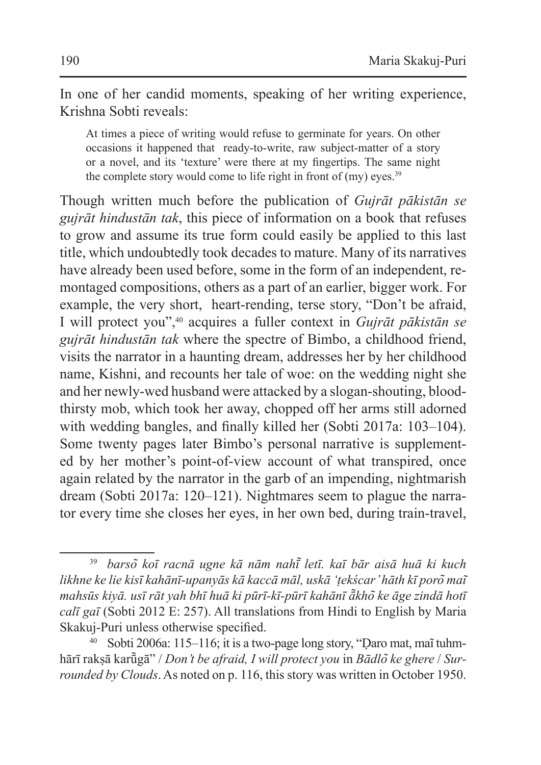In one of her candid moments, speaking of her writing experience, Krishna Sobti reveals:

At times a piece of writing would refuse to germinate for years. On other occasions it happened that ready-to-write, raw subject-matter of a story or a novel, and its 'texture' were there at my fingertips. The same night the complete story would come to life right in front of  $(my)$  eyes.<sup>39</sup>

Though written much before the publication of *Gujrāt pākistān se gujrāt hindustān tak*, this piece of information on a book that refuses to grow and assume its true form could easily be applied to this last title, which undoubtedly took decades to mature. Many of its narratives have already been used before, some in the form of an independent, remontaged compositions, others as a part of an earlier, bigger work. For example, the very short, heart-rending, terse story, "Don't be afraid, I will protect you",<sup>40</sup> acquires a fuller context in *Gujrāt pākistān se gujrāt hindustān tak* where the spectre of Bimbo, a childhood friend, visits the narrator in a haunting dream, addresses her by her childhood name, Kishni, and recounts her tale of woe: on the wedding night she and her newly-wed husband were attacked by a slogan-shouting, bloodthirsty mob, which took her away, chopped off her arms still adorned with wedding bangles, and finally killed her (Sobti 2017a: 103–104). Some twenty pages later Bimbo's personal narrative is supplemented by her mother's point-of-view account of what transpired, once again related by the narrator in the garb of an impending, nightmarish dream (Sobti 2017a: 120–121). Nightmares seem to plague the narrator every time she closes her eyes, in her own bed, during train-travel,

<sup>39</sup> *barso͂ koī racnā ugne kā nām nahī͂ letī. kaī bār aisā huā ki kuch likhne ke lie kisī kahānī-upanyās kā kaccā māl, uskā 'ṭekścar' hāth kī poro͂ mai͂ mahsūs kiyā. usī rāt yah bhī huā ki pūrī-kī-pūrī kahānī ā͂kho͂ ke āge zindā hotī calī gaī* (Sobti 2012 E: 257). All translations from Hindi to English by Maria Skakuj-Puri unless otherwise specified.

<sup>40</sup> Sobti 2006a: 115–116; it is a two-page long story, "Ḍaro mat, mai͂tuhmhārī rakṣā karū͂gā" / *Don't be afraid, I will protect you* in *Bādlo͂ ke ghere* / *Surrounded by Clouds*.As noted on p. 116, this story was written in October 1950.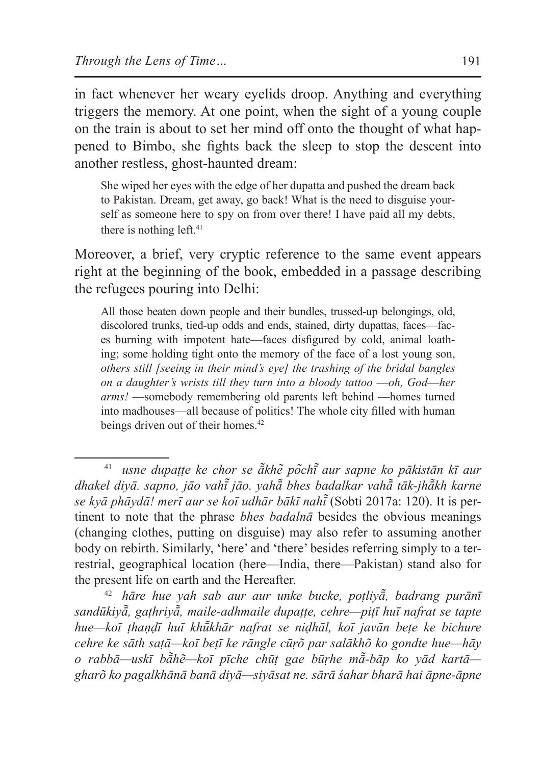in fact whenever her weary eyelids droop. Anything and everything triggers the memory. At one point, when the sight of a young couple on the train is about to set her mind off onto the thought of what happened to Bimbo, she fights back the sleep to stop the descent into another restless, ghost-haunted dream:

She wiped her eyes with the edge of her dupatta and pushed the dream back to Pakistan. Dream, get away, go back! What is the need to disguise yourself as someone here to spy on from over there! I have paid all my debts, there is nothing left.<sup>41</sup>

Moreover, a brief, very cryptic reference to the same event appears right at the beginning of the book, embedded in a passage describing the refugees pouring into Delhi:

All those beaten down people and their bundles, trussed-up belongings, old, discolored trunks, tied-up odds and ends, stained, dirty dupattas, faces—faces burning with impotent hate—faces disfigured by cold, animal loathing; some holding tight onto the memory of the face of a lost young son, *others still [seeing in their mind's eye] the trashing of the bridal bangles on a daughter's wrists till they turn into a bloody tattoo* —*oh, God*—*her arms!* —somebody remembering old parents left behind —homes turned into madhouses—all because of politics! The whole city filled with human beings driven out of their homes.<sup>42</sup>

<sup>41</sup> *usne dupaṭṭe ke chor se ā͂khe͂ po͂chī͂ aur sapne ko pākistān kī aur dhakel diyā. sapno, jāo vahī͂ jāo. yahā͂ bhes badalkar vahā͂ tāk-jhā͂kh karne se kyā phāydā! merī aur se koī udhār bākī nahī͂*(Sobti 2017a: 120). It is pertinent to note that the phrase *bhes badalnā* besides the obvious meanings (changing clothes, putting on disguise) may also refer to assuming another body on rebirth. Similarly, 'here' and 'there' besides referring simply to a terrestrial, geographical location (here—India, there—Pakistan) stand also for the present life on earth and the Hereafter.

<sup>42</sup> *hāre hue yah sab aur aur unke bucke, poṭliyā͂, badrang purānī sandūkiyā͂, gaṭhriyā͂, maile-adhmaile dupaṭṭe, cehre—piṭī huī nafrat se tapte hue—koī ṭhaṇḍī huī khū͂khār nafrat se niḍhāl, koī javān beṭe ke bichure cehre ke sāth saṭā—koī beṭī ke rāngle cūṛõ par salākhõ ko gondte hue—hāy o rabbā—uskī bā͂hẽ—koī pīche chūṭ gae būṛhe mā͂-bāp ko yād kartā gharõ ko pagalkhānā banā diyā—siyāsat ne. sārā śahar bharā hai āpne-āpne*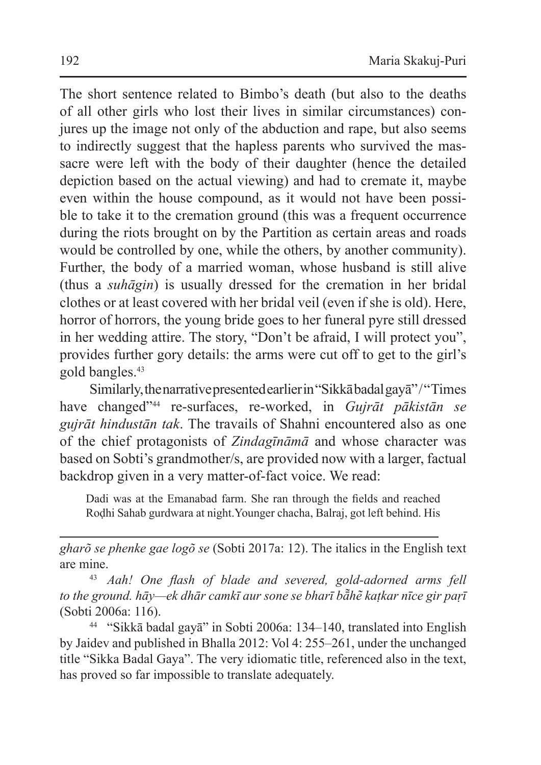The short sentence related to Bimbo's death (but also to the deaths of all other girls who lost their lives in similar circumstances) conjures up the image not only of the abduction and rape, but also seems to indirectly suggest that the hapless parents who survived the massacre were left with the body of their daughter (hence the detailed depiction based on the actual viewing) and had to cremate it, maybe even within the house compound, as it would not have been possible to take it to the cremation ground (this was a frequent occurrence during the riots brought on by the Partition as certain areas and roads would be controlled by one, while the others, by another community). Further, the body of a married woman, whose husband is still alive (thus a *suhāgin*) is usually dressed for the cremation in her bridal clothes or at least covered with her bridal veil (even if she is old). Here, horror of horrors, the young bride goes to her funeral pyre still dressed in her wedding attire. The story, "Don't be afraid, I will protect you", provides further gory details: the arms were cut off to get to the girl's gold bangles.43

Similarly, the narrative presented earlier in "Sikkā badalgayā" / "Times" have changed"<sup>44</sup> re-surfaces, re-worked, in *Gujrāt pākistān se gujrāt hindustān tak*. The travails of Shahni encountered also as one of the chief protagonists of *Zindagīnāmā* and whose character was based on Sobti's grandmother/s, are provided now with a larger, factual backdrop given in a very matter-of-fact voice. We read:

Dadi was at the Emanabad farm. She ran through the fields and reached Roḍhi Sahab gurdwara at night.Younger chacha, Balraj, got left behind. His

*gharõ se phenke gae logõ se* (Sobti 2017a: 12). The italics in the English text are mine. 43 *Aah! One flash of blade and severed, gold-adorned arms fell* 

*to the ground. hāy—ek dhār camkī aur sone se bharī bā͂he͂ kaṭkar nīce gir paṛī* (Sobti 2006a: 116).

<sup>44</sup> "Sikkā badal gayā" in Sobti 2006a: 134–140, translated into English by Jaidev and published in Bhalla 2012: Vol 4: 255–261, under the unchanged title "Sikka Badal Gaya". The very idiomatic title, referenced also in the text, has proved so far impossible to translate adequately.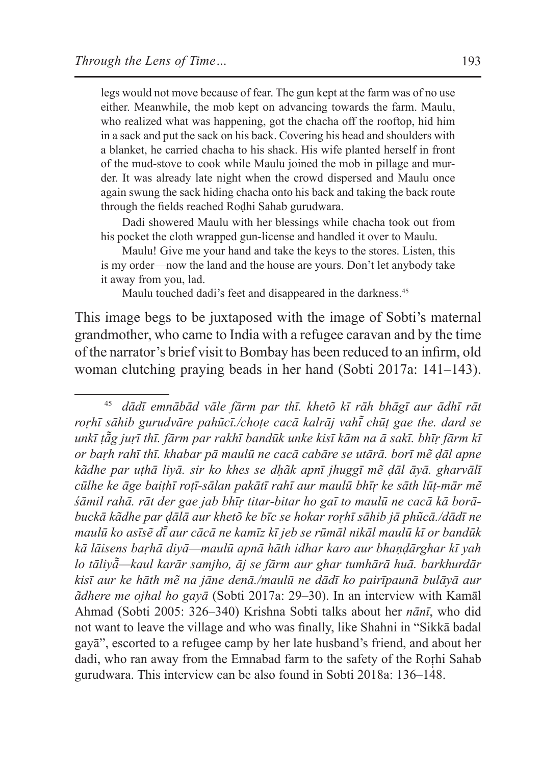legs would not move because of fear. The gun kept at the farm was of no use either. Meanwhile, the mob kept on advancing towards the farm. Maulu, who realized what was happening, got the chacha off the rooftop, hid him in a sack and put the sack on his back. Covering his head and shoulders with a blanket, he carried chacha to his shack. His wife planted herself in front of the mud-stove to cook while Maulu joined the mob in pillage and murder. It was already late night when the crowd dispersed and Maulu once again swung the sack hiding chacha onto his back and taking the back route through the fields reached Roḍhi Sahab gurudwara.

Dadi showered Maulu with her blessings while chacha took out from his pocket the cloth wrapped gun-license and handled it over to Maulu.

Maulu! Give me your hand and take the keys to the stores. Listen, this is my order—now the land and the house are yours. Don't let anybody take it away from you, lad.

Maulu touched dadi's feet and disappeared in the darkness.<sup>45</sup>

This image begs to be juxtaposed with the image of Sobti's maternal grandmother, who came to India with a refugee caravan and by the time of the narrator's brief visit to Bombay has been reduced to an infirm, old woman clutching praying beads in her hand (Sobti 2017a: 141–143).

<sup>45</sup> *dādī emnābād vāle fārm par thī. khetõ kī rāh bhāgī aur ādhī rāt roṛhī sāhib gurudvāre pahũcī./choṭe cacā kalrāj vahī͂ chūṭ gae the. dard se unkī ṭā͂g juṛī thī. fārm par rakhī bandūk unke kisī kām na ā sakī. bhīṛ fārm kī or baṛh rahī thī. khabar pā maulū ne cacā cabāre se utārā. borī mẽ ḍāl apne kãdhe par uṭhā liyā. sir ko khes se dḥãk apnī jhuggī mẽ ḍāl āyā. gharvālī cūlhe ke āge baiṭhī roṭī-sālan pakātī rahī aur maulū bhīṛ ke sāth lūṭ-mār mẽ śāmil rahā. rāt der gae jab bhīṛ titar-bitar ho gaī to maulū ne cacā kā borābuckā kãdhe par ḍālā aur khetõ ke bīc se hokar roṛhī sāhib jā phũcā./dādī ne maulū ko asīsẽ dī͂ aur cācā ne kamīz kī jeb se rūmāl nikāl maulū kī or bandūk kā lāisens baṛhā diyā—maulū apnā hāth idhar karo aur bhaṇḍārghar kī yah lo tāliyā͂—kaul karār samjho, āj se fārm aur ghar tumhārā huā. barkhurdār kisī aur ke hāth mẽ na jāne denā./maulū ne dādī ko pairīpaunā bulāyā aur ãdhere me ojhal ho gayā* (Sobti 2017a: 29–30). In an interview with Kamāl Ahmad (Sobti 2005: 326–340) Krishna Sobti talks about her *nānī*, who did not want to leave the village and who was finally, like Shahni in "Sikkā badal gayā", escorted to a refugee camp by her late husband's friend, and about her dadi, who ran away from the Emnabad farm to the safety of the Rorhi Sahab gurudwara. This interview can be also found in Sobti 2018a: 136–148.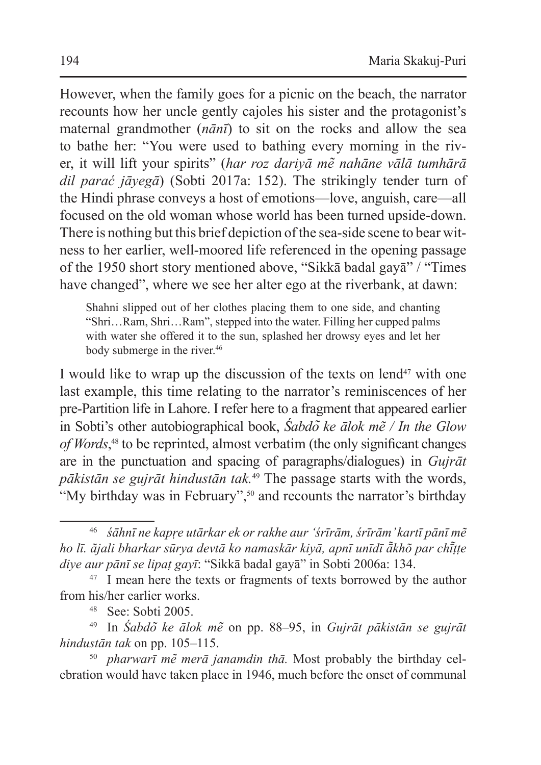However, when the family goes for a picnic on the beach, the narrator recounts how her uncle gently cajoles his sister and the protagonist's maternal grandmother (*nānī*) to sit on the rocks and allow the sea to bathe her: "You were used to bathing every morning in the river, it will lift your spirits" (*har roz dariyā me͂ nahāne vālā tumhārā dil parać jāyegā*) (Sobti 2017a: 152). The strikingly tender turn of the Hindi phrase conveys a host of emotions—love, anguish, care—all focused on the old woman whose world has been turned upside-down. There is nothing but this brief depiction of the sea-side scene to bear witness to her earlier, well-moored life referenced in the opening passage of the 1950 short story mentioned above, "Sikkā badal gayā" / "Times have changed", where we see her alter ego at the riverbank, at dawn:

Shahni slipped out of her clothes placing them to one side, and chanting "Shri…Ram, Shri…Ram", stepped into the water. Filling her cupped palms with water she offered it to the sun, splashed her drowsy eyes and let her body submerge in the river.<sup>46</sup>

I would like to wrap up the discussion of the texts on lend<sup>47</sup> with one last example, this time relating to the narrator's reminiscences of her pre-Partition life in Lahore. I refer here to a fragment that appeared earlier in Sobti's other autobiographical book, *Śabdo͂ ke ālok mẽ / In the Glow of Words*, <sup>48</sup> to be reprinted, almost verbatim (the only significant changes are in the punctuation and spacing of paragraphs/dialogues) in *Gujrāt pākistān se gujrāt hindustān tak.*<sup>49</sup> The passage starts with the words, "My birthday was in February",<sup>50</sup> and recounts the narrator's birthday

<sup>46</sup> *śāhnī ne kapṛe utārkar ek or rakhe aur 'śrīrām, śrīrām' kartī pānī mẽ ho lī. ãjali bharkar sūrya devtā ko namaskār kiyā, apnī unīdī ā͂khõ par chī͂ṭṭe diye aur pānī se lipaṭ gayī*: "Sikkā badal gayā" in Sobti 2006a: 134.

<sup>&</sup>lt;sup>47</sup> I mean here the texts or fragments of texts borrowed by the author from his/her earlier works.

<sup>48</sup> See: Sobti 2005.

<sup>49</sup> In *Śabdo͂ ke ālok me͂* on pp. 88–95, in *Gujrāt pākistān se gujrāt hindustān tak* on pp. 105–115.

<sup>50</sup> *pharwarī me͂ merā janamdin thā.* Most probably the birthday celebration would have taken place in 1946, much before the onset of communal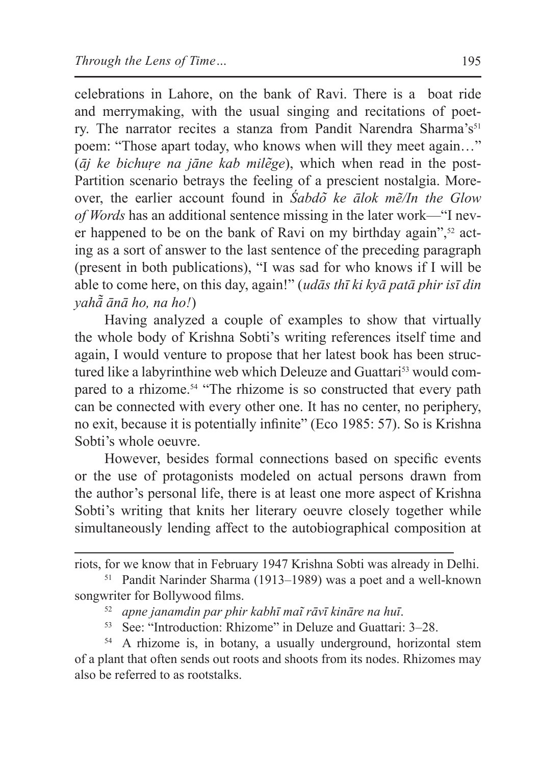celebrations in Lahore, on the bank of Ravi. There is a boat ride and merrymaking, with the usual singing and recitations of poetry. The narrator recites a stanza from Pandit Narendra Sharma's<sup>51</sup> poem: "Those apart today, who knows when will they meet again…" (*āj ke bichuṛe na jāne kab mile͂ge*), which when read in the post-Partition scenario betrays the feeling of a prescient nostalgia. Moreover, the earlier account found in *Śabdo͂ ke ālok mẽ/In the Glow of Words* has an additional sentence missing in the later work—"I never happened to be on the bank of Ravi on my birthday again", $52$  acting as a sort of answer to the last sentence of the preceding paragraph (present in both publications), "I was sad for who knows if I will be able to come here, on this day, again!" (*udās thī ki kyā patā phir isī din yahā͂ ānā ho, na ho!*)

Having analyzed a couple of examples to show that virtually the whole body of Krishna Sobti's writing references itself time and again, I would venture to propose that her latest book has been structured like a labyrinthine web which Deleuze and Guattari<sup>53</sup> would compared to a rhizome.<sup>54</sup> "The rhizome is so constructed that every path can be connected with every other one. It has no center, no periphery, no exit, because it is potentially infinite" (Eco 1985: 57). So is Krishna Sobti's whole oeuvre.

However, besides formal connections based on specific events or the use of protagonists modeled on actual persons drawn from the author's personal life, there is at least one more aspect of Krishna Sobti's writing that knits her literary oeuvre closely together while simultaneously lending affect to the autobiographical composition at

- <sup>52</sup> *apne janamdin par phir kabhī mai͂ rāvī kināre na huī*.
- <sup>53</sup> See: "Introduction: Rhizome" in Deluze and Guattari: 3–28.

riots, for we know that in February 1947 Krishna Sobti was already in Delhi.

<sup>51</sup> Pandit Narinder Sharma (1913–1989) was a poet and a well-known songwriter for Bollywood films.

<sup>&</sup>lt;sup>54</sup> A rhizome is, in botany, a usually underground, horizontal stem of a plant that often sends out roots and shoots from its nodes. Rhizomes may also be referred to as rootstalks.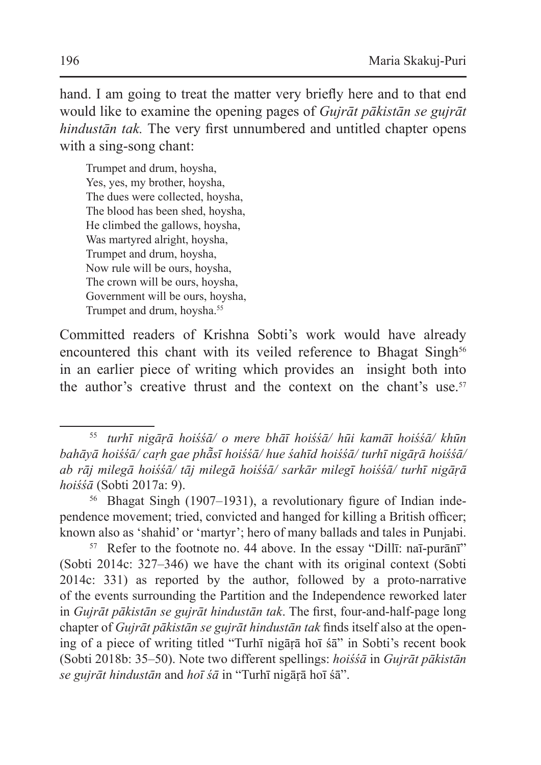hand. I am going to treat the matter very briefly here and to that end would like to examine the opening pages of *Gujrāt pākistān se gujrāt hindustān tak.* The very first unnumbered and untitled chapter opens with a sing-song chant:

Trumpet and drum, hoysha, Yes, yes, my brother, hoysha, The dues were collected, hoysha, The blood has been shed, hoysha, He climbed the gallows, hoysha, Was martyred alright, hoysha, Trumpet and drum, hoysha, Now rule will be ours, hoysha, The crown will be ours, hoysha, Government will be ours, hoysha, Trumpet and drum, hoysha.<sup>55</sup>

Committed readers of Krishna Sobti's work would have already encountered this chant with its veiled reference to Bhagat Singh<sup>56</sup> in an earlier piece of writing which provides an insight both into the author's creative thrust and the context on the chant's use.<sup>57</sup>

<sup>55</sup> *turhī nigāṛā hoiśśā/ o mere bhāī hoiśśā/ hūi kamāī hoiśśā/ khūn bahāyā hoiśśā/ caṛh gae phā͂sī hoiśśā/ hue śahīd hoiśśā/ turhī nigāṛā hoiśśā/ ab rāj milegā hoiśśā/ tāj milegā hoiśśā/ sarkār milegī hoiśśā/ turhī nigāṛā hoiśśā* (Sobti 2017a: 9).

<sup>56</sup> Bhagat Singh (1907–1931), a revolutionary figure of Indian independence movement; tried, convicted and hanged for killing a British officer; known also as 'shahid' or 'martyr'; hero of many ballads and tales in Punjabi.

<sup>57</sup> Refer to the footnote no. 44 above. In the essay "Dillī: naī-purānī" (Sobti 2014c: 327–346) we have the chant with its original context (Sobti 2014c: 331) as reported by the author, followed by a proto-narrative of the events surrounding the Partition and the Independence reworked later in *Gujrāt pākistān se gujrāt hindustān tak*. The first, four-and-half-page long chapter of *Gujrāt pākistān se gujrāt hindustān tak* finds itself also at the opening of a piece of writing titled "Turhī nigāṛā hoī śā" in Sobti's recent book (Sobti 2018b: 35–50). Note two different spellings: *hoiśśā* in *Gujrāt pākistān se gujrāt hindustān* and *hoī śā* in "Turhī nigāṛā hoī śā".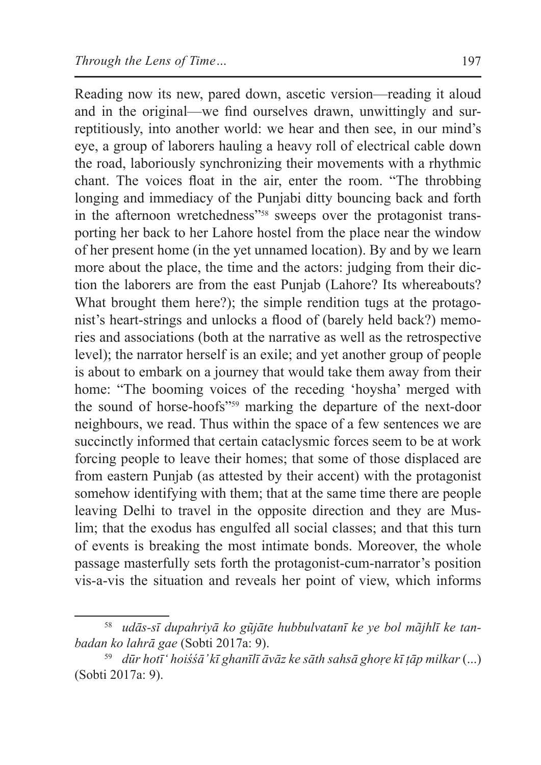Reading now its new, pared down, ascetic version—reading it aloud and in the original—we find ourselves drawn, unwittingly and surreptitiously, into another world: we hear and then see, in our mind's eye, a group of laborers hauling a heavy roll of electrical cable down the road, laboriously synchronizing their movements with a rhythmic chant. The voices float in the air, enter the room. "The throbbing longing and immediacy of the Punjabi ditty bouncing back and forth in the afternoon wretchedness"58 sweeps over the protagonist transporting her back to her Lahore hostel from the place near the window of her present home (in the yet unnamed location). By and by we learn more about the place, the time and the actors: judging from their diction the laborers are from the east Punjab (Lahore? Its whereabouts? What brought them here?); the simple rendition tugs at the protagonist's heart-strings and unlocks a flood of (barely held back?) memories and associations (both at the narrative as well as the retrospective level); the narrator herself is an exile; and yet another group of people is about to embark on a journey that would take them away from their home: "The booming voices of the receding 'hoysha' merged with the sound of horse-hoofs"<sup>59</sup> marking the departure of the next-door neighbours, we read. Thus within the space of a few sentences we are succinctly informed that certain cataclysmic forces seem to be at work forcing people to leave their homes; that some of those displaced are from eastern Punjab (as attested by their accent) with the protagonist somehow identifying with them; that at the same time there are people leaving Delhi to travel in the opposite direction and they are Muslim; that the exodus has engulfed all social classes; and that this turn of events is breaking the most intimate bonds. Moreover, the whole passage masterfully sets forth the protagonist-cum-narrator's position vis-a-vis the situation and reveals her point of view, which informs

<sup>58</sup> *udās-sī dupahriyā ko gũjāte hubbulvatanī ke ye bol mãjhlī ke tanbadan ko lahrā gae* (Sobti 2017a: 9).

<sup>59</sup> *dūr hotī' hoiśśā' kī ghanīlī āvāz ke sāth sahsā ghoṛe kī ṭāp milkar* (...) (Sobti 2017a: 9).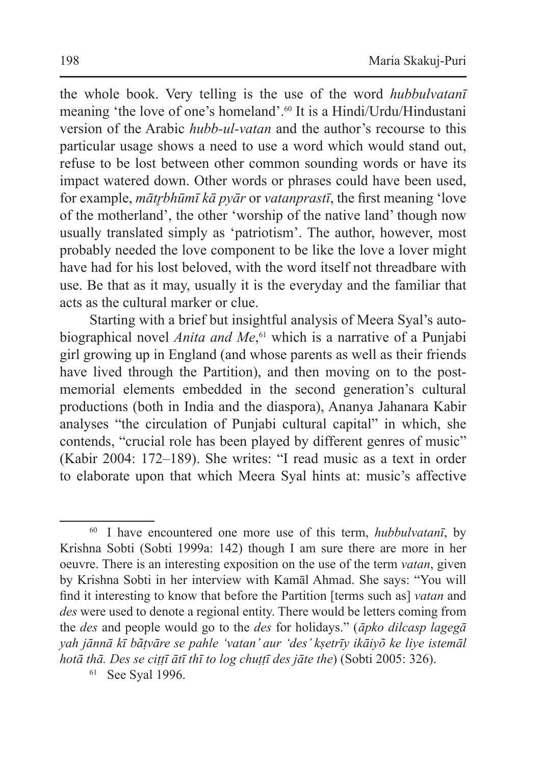the whole book. Very telling is the use of the word *hubbulvatanī* meaning 'the love of one's homeland'.<sup>60</sup> It is a Hindi/Urdu/Hindustani version of the Arabic *hubb-ul-vatan* and the author's recourse to this particular usage shows a need to use a word which would stand out, refuse to be lost between other common sounding words or have its impact watered down. Other words or phrases could have been used, for example, *mātr̥bhūmī kā pyār* or *vatanprastī*, the first meaning 'love of the motherland', the other 'worship of the native land' though now usually translated simply as 'patriotism'. The author, however, most probably needed the love component to be like the love a lover might have had for his lost beloved, with the word itself not threadbare with use. Be that as it may, usually it is the everyday and the familiar that acts as the cultural marker or clue.

Starting with a brief but insightful analysis of Meera Syal's autobiographical novel *Anita and Me*, <sup>61</sup> which is a narrative of a Punjabi girl growing up in England (and whose parents as well as their friends have lived through the Partition), and then moving on to the postmemorial elements embedded in the second generation's cultural productions (both in India and the diaspora), Ananya Jahanara Kabir analyses "the circulation of Punjabi cultural capital" in which, she contends, "crucial role has been played by different genres of music" (Kabir 2004: 172–189). She writes: "I read music as a text in order to elaborate upon that which Meera Syal hints at: music's affective

<sup>61</sup> See Syal 1996.

<sup>60</sup> I have encountered one more use of this term, *hubbulvatanī*, by Krishna Sobti (Sobti 1999a: 142) though I am sure there are more in her oeuvre. There is an interesting exposition on the use of the term *vatan*, given by Krishna Sobti in her interview with Kamāl Ahmad. She says: "You will find it interesting to know that before the Partition [terms such as] *vatan* and *des* were used to denote a regional entity. There would be letters coming from the *des* and people would go to the *des* for holidays." (*āpko dilcasp lagegā yah jānnā kī bãṭvāre se pahle 'vatan' aur 'des' kṣetrīy ikāiyõ ke liye istemāl hotā thā. Des se ciṭṭī ātī thī to log chuṭṭī des jāte the*) (Sobti 2005: 326).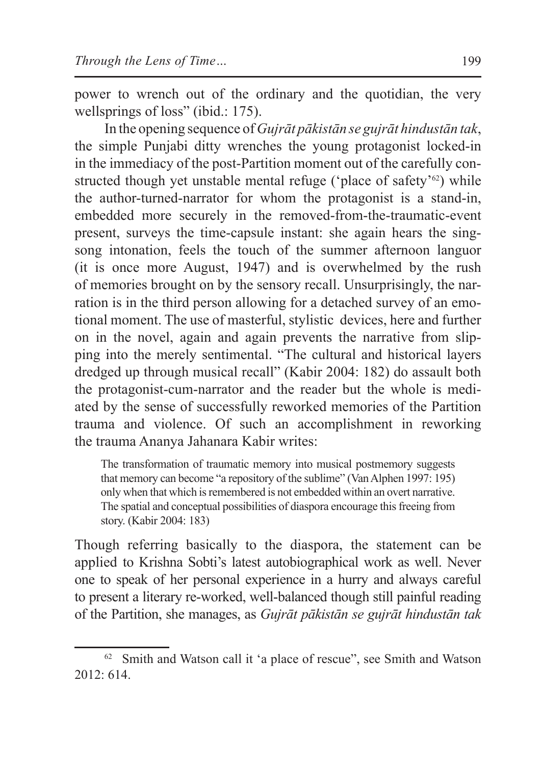power to wrench out of the ordinary and the quotidian, the very wellsprings of loss" (ibid.: 175).

In the opening sequence of *Gujrāt pākistān se gujrāt hindustān tak*, the simple Punjabi ditty wrenches the young protagonist locked-in in the immediacy of the post-Partition moment out of the carefully constructed though yet unstable mental refuge ('place of safety'<sup>62</sup>) while the author-turned-narrator for whom the protagonist is a stand-in, embedded more securely in the removed-from-the-traumatic-event present, surveys the time-capsule instant: she again hears the singsong intonation, feels the touch of the summer afternoon languor (it is once more August, 1947) and is overwhelmed by the rush of memories brought on by the sensory recall. Unsurprisingly, the narration is in the third person allowing for a detached survey of an emotional moment. The use of masterful, stylistic devices, here and further on in the novel, again and again prevents the narrative from slipping into the merely sentimental. "The cultural and historical layers dredged up through musical recall" (Kabir 2004: 182) do assault both the protagonist-cum-narrator and the reader but the whole is mediated by the sense of successfully reworked memories of the Partition trauma and violence. Of such an accomplishment in reworking the trauma Ananya Jahanara Kabir writes:

The transformation of traumatic memory into musical postmemory suggests that memory can become "a repository of the sublime" (VanAlphen 1997: 195) only when that which is remembered is not embedded within an overt narrative. The spatial and conceptual possibilities of diaspora encourage this freeing from story. (Kabir 2004: 183)

Though referring basically to the diaspora, the statement can be applied to Krishna Sobti's latest autobiographical work as well. Never one to speak of her personal experience in a hurry and always careful to present a literary re-worked, well-balanced though still painful reading of the Partition, she manages, as *Gujrāt pākistān se gujrāt hindustān tak* 

<sup>&</sup>lt;sup>62</sup> Smith and Watson call it 'a place of rescue", see Smith and Watson 2012: 614.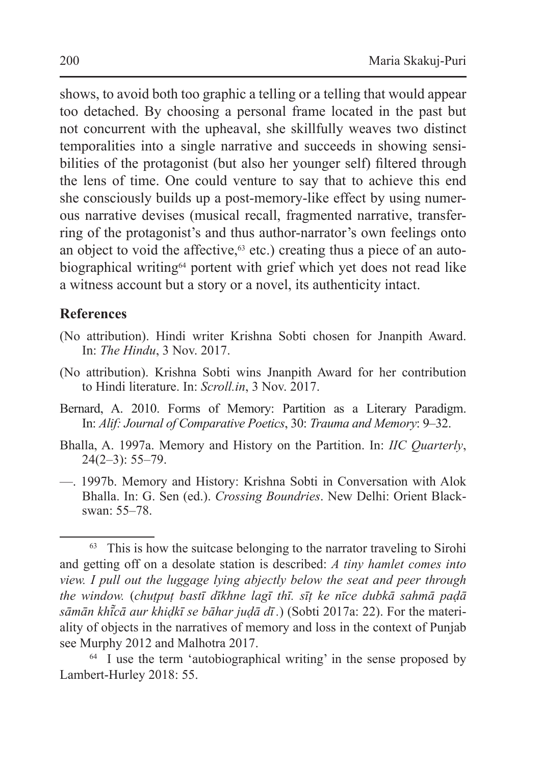shows, to avoid both too graphic a telling or a telling that would appear too detached. By choosing a personal frame located in the past but not concurrent with the upheaval, she skillfully weaves two distinct temporalities into a single narrative and succeeds in showing sensibilities of the protagonist (but also her younger self) filtered through the lens of time. One could venture to say that to achieve this end she consciously builds up a post-memory-like effect by using numerous narrative devises (musical recall, fragmented narrative, transferring of the protagonist's and thus author-narrator's own feelings onto an object to void the affective, $63$  etc.) creating thus a piece of an autobiographical writing<sup>64</sup> portent with grief which yet does not read like a witness account but a story or a novel, its authenticity intact.

## **References**

- (No attribution). Hindi writer Krishna Sobti chosen for Jnanpith Award. In: *The Hindu*, 3 Nov. 2017.
- (No attribution). Krishna Sobti wins Jnanpith Award for her contribution to Hindi literature. In: *Scroll.in*, 3 Nov. 2017.
- Bernard, A. 2010. Forms of Memory: Partition as a Literary Paradigm. In: *Alif: Journal of Comparative Poetics*, 30: *Trauma and Memory*: 9–32.
- Bhalla, A. 1997a. Memory and History on the Partition. In: *IIC Quarterly*,  $24(2-3)$ : 55-79.
- —. 1997b. Memory and History: Krishna Sobti in Conversation with Alok Bhalla. In: G. Sen (ed.). *Crossing Boundries*. New Delhi: Orient Blackswan: 55–78.

<sup>&</sup>lt;sup>63</sup> This is how the suitcase belonging to the narrator traveling to Sirohi and getting off on a desolate station is described: *A tiny hamlet comes into view. I pull out the luggage lying abjectly below the seat and peer through the window.* (*chuṭpuṭ bastī dīkhne lagī thī. sīṭ ke nīce dubkā sahmā paḍā sāmān khī͂ cā aur khiḍkī se bāhar juḍā dī .*) (Sobti 2017a: 22). For the materiality of objects in the narratives of memory and loss in the context of Punjab see Murphy 2012 and Malhotra 2017.

<sup>&</sup>lt;sup>64</sup> I use the term 'autobiographical writing' in the sense proposed by Lambert-Hurley 2018: 55.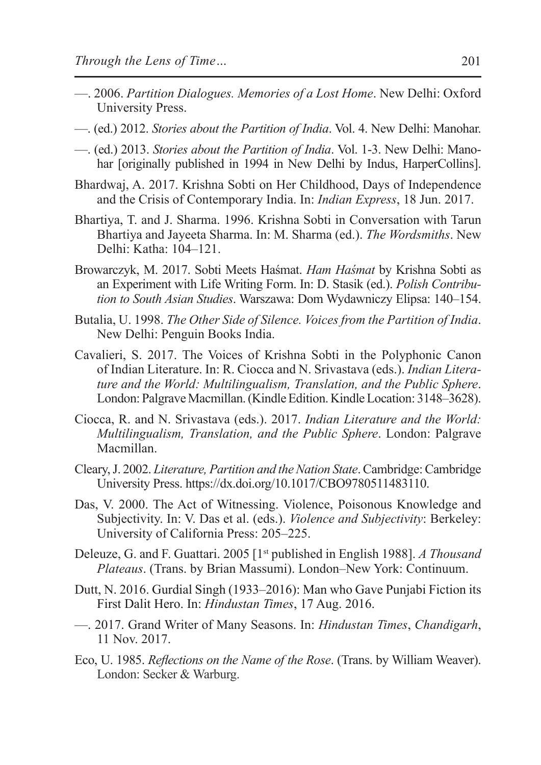- —. 2006. *Partition Dialogues. Memories of a Lost Home*. New Delhi: Oxford University Press.
- —. (ed.) 2012. *Stories about the Partition of India*. Vol. 4. New Delhi: Manohar.
- —. (ed.) 2013. *Stories about the Partition of India*. Vol. 1-3. New Delhi: Manohar [originally published in 1994 in New Delhi by Indus, HarperCollins].
- Bhardwaj, A. 2017. Krishna Sobti on Her Childhood, Days of Independence and the Crisis of Contemporary India. In: *Indian Express*, 18 Jun. 2017.
- Bhartiya, T. and J. Sharma. 1996. Krishna Sobti in Conversation with Tarun Bhartiya and Jayeeta Sharma. In: M. Sharma (ed.). *The Wordsmiths*. New Delhi: Katha: 104–121.
- Browarczyk, M. 2017. Sobti Meets Haśmat. *Ham Haśmat* by Krishna Sobti as an Experiment with Life Writing Form. In: D. Stasik (ed.). *Polish Contribution to South Asian Studies*. Warszawa: Dom Wydawniczy Elipsa: 140–154.
- Butalia, U. 1998. *The Other Side of Silence. Voices from the Partition of India*. New Delhi: Penguin Books India.
- Cavalieri, S. 2017. The Voices of Krishna Sobti in the Polyphonic Canon of Indian Literature. In: R. Ciocca and N. Srivastava (eds.). *Indian Literature and the World: Multilingualism, Translation, and the Public Sphere*. London: Palgrave Macmillan. (Kindle Edition. Kindle Location: 3148–3628).
- Ciocca, R. and N. Srivastava (eds.). 2017. *Indian Literature and the World: Multilingualism, Translation, and the Public Sphere*. London: Palgrave Macmillan.
- Cleary,J. 2002. *Literature, Partition and theNation State*. Cambridge: Cambridge University Press. https://dx.doi.org/10.1017/CBO9780511483110.
- Das, V. 2000. The Act of Witnessing. Violence, Poisonous Knowledge and Subjectivity. In: V. Das et al. (eds.). *Violence and Subjectivity*: Berkeley: University of California Press: 205–225.
- Deleuze, G. and F. Guattari. 2005 [1st published in English 1988]. *A Thousand Plateaus*. (Trans. by Brian Massumi). London–New York: Continuum.
- Dutt, N. 2016. Gurdial Singh (1933–2016): Man who Gave Punjabi Fiction its First Dalit Hero. In: *Hindustan Times*, 17 Aug. 2016.
- —. 2017. Grand Writer of Many Seasons. In: *Hindustan Times*, *Chandigarh*, 11 Nov. 2017.
- Eco, U. 1985. *Reflections on the Name of the Rose*. (Trans. by William Weaver). London: Secker & Warburg.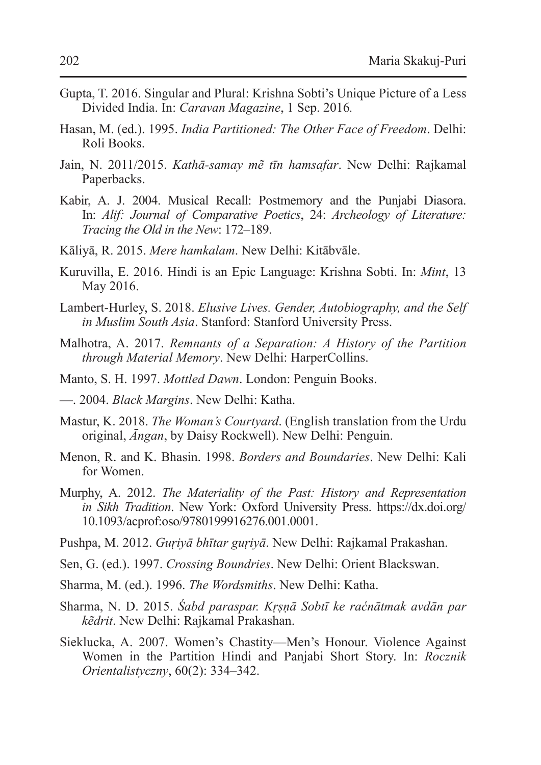- Gupta, T. 2016. Singular and Plural: Krishna Sobti's Unique Picture of a Less Divided India. In: *Caravan Magazine*, 1 Sep. 2016*.*
- Hasan, M. (ed.). 1995. *India Partitioned: The Other Face of Freedom*. Delhi: Roli Books.
- Jain, N. 2011/2015. *Kathā-samay mẽ tīn hamsafar*. New Delhi: Rajkamal Paperbacks.
- Kabir, A. J. 2004. Musical Recall: Postmemory and the Punjabi Diasora. In: *Alif: Journal of Comparative Poetics*, 24: *Archeology of Literature: Tracing the Old in the New*: 172–189.
- Kāliyā, R. 2015. *Mere hamkalam*. New Delhi: Kitābvāle.
- Kuruvilla, E. 2016. Hindi is an Epic Language: Krishna Sobti. In: *Mint*, 13 May 2016.
- Lambert-Hurley, S. 2018. *Elusive Lives. Gender, Autobiography, and the Self in Muslim South Asia*. Stanford: Stanford University Press.
- Malhotra, A. 2017. *Remnants of a Separation: A History of the Partition through Material Memory*. New Delhi: HarperCollins.
- Manto, S. H. 1997. *Mottled Dawn*. London: Penguin Books.
- —. 2004. *Black Margins*. New Delhi: Katha.
- Mastur, K. 2018. *The Woman's Courtyard*. (English translation from the Urdu original, *Āngan*, by Daisy Rockwell). New Delhi: Penguin.
- Menon, R. and K. Bhasin. 1998. *Borders and Boundaries*. New Delhi: Kali for Women.
- Murphy, A. 2012. *The Materiality of the Past: History and Representation in Sikh Tradition*. New York: Oxford University Press. https://dx.doi.org/ 10.1093/acprof:oso/9780199916276.001.0001.
- Pushpa, M. 2012. *Guṛiyā bhītar guṛiyā*. New Delhi: Rajkamal Prakashan.
- Sen, G. (ed.). 1997. *Crossing Boundries*. New Delhi: Orient Blackswan.
- Sharma, M. (ed.). 1996. *The Wordsmiths*. New Delhi: Katha.
- Sharma, N. D. 2015. *Śabd paraspar. Kṛṣṇā Sobtī ke raćnātmak avdān par kẽdrit*. New Delhi: Rajkamal Prakashan.
- Sieklucka, A. 2007. Women's Chastity—Men's Honour. Violence Against Women in the Partition Hindi and Panjabi Short Story. In: *Rocznik Orientalistyczny*, 60(2): 334–342.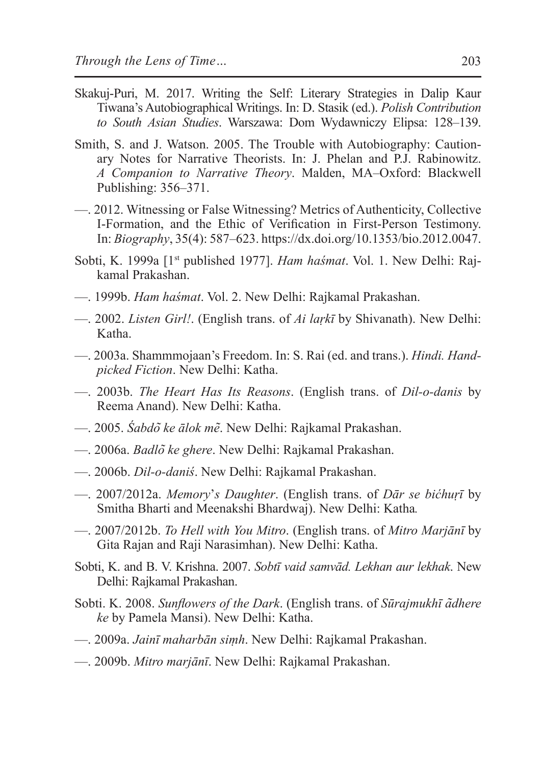- Skakuj-Puri, M. 2017. Writing the Self: Literary Strategies in Dalip Kaur Tiwana's Autobiographical Writings. In: D. Stasik (ed.). *Polish Contribution to South Asian Studies*. Warszawa: Dom Wydawniczy Elipsa: 128–139.
- Smith, S. and J. Watson. 2005. The Trouble with Autobiography: Cautionary Notes for Narrative Theorists. In: J. Phelan and P.J. Rabinowitz. *A Companion to Narrative Theory*. Malden, MA–Oxford: Blackwell Publishing: 356–371.
- —. 2012. Witnessing or False Witnessing? Metrics of Authenticity, Collective I-Formation, and the Ethic of Verification in First-Person Testimony. In: *Biography*, 35(4): 587–623. https://dx.doi.org/10.1353/bio.2012.0047.
- Sobti, K. 1999a [1st published 1977]. *Ham haśmat*. Vol. 1. New Delhi: Rajkamal Prakashan.
- —. 1999b. *Ham haśmat*. Vol. 2. New Delhi: Rajkamal Prakashan.
- —. 2002. *Listen Girl!*. (English trans. of *Ai laṛkī* by Shivanath). New Delhi: Katha.
- —. 2003a. Shammmojaan's Freedom. In: S. Rai (ed. and trans.). *Hindi. Handpicked Fiction*. New Delhi: Katha.
- —. 2003b. *The Heart Has Its Reasons*. (English trans. of *Dil-o-danis* by Reema Anand). New Delhi: Katha.
- —. 2005. *Śabdo͂ ke ālok me͂*. New Delhi: Rajkamal Prakashan.
- —. 2006a. *Badlo͂ ke ghere*. New Delhi: Rajkamal Prakashan.
- —. 2006b. *Dil-o-daniś*. New Delhi: Rajkamal Prakashan.
- —. 2007/2012a. *Memory*'*s Daughter*. (English trans. of *Dār se bićhuṛī* by Smitha Bharti and Meenakshi Bhardwaj). New Delhi: Katha*.*
- —. 2007/2012b. *To Hell with You Mitro*. (English trans. of *Mitro Marjānī* by Gita Rajan and Raji Narasimhan). New Delhi: Katha.
- Sobti, K. and B. V. Krishna. 2007. *Sobtī vaid samvād. Lekhan aur lekhak*. New Delhi: Rajkamal Prakashan.
- Sobti. K. 2008. *Sunflowers of the Dark*. (English trans. of *Sūrajmukhī a͂dhere ke* by Pamela Mansi). New Delhi: Katha.
- —. 2009a. *Jainī maharbān siṃh*. New Delhi: Rajkamal Prakashan.
- —. 2009b. *Mitro marjānī*. New Delhi: Rajkamal Prakashan.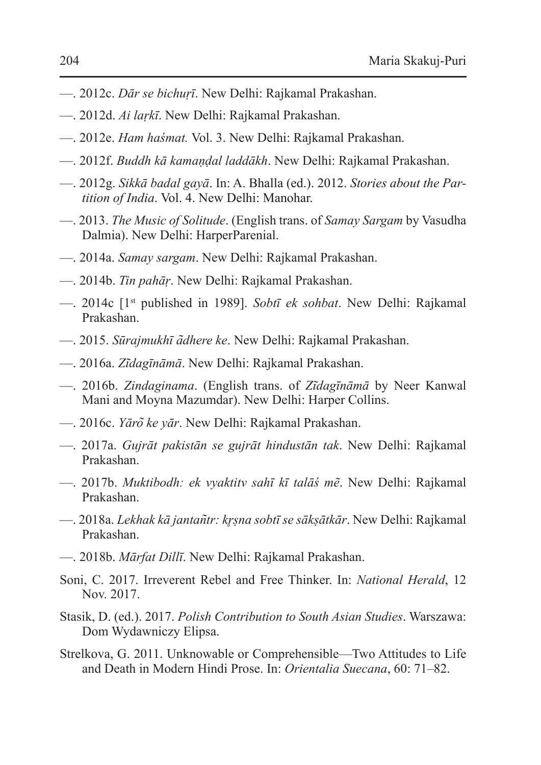- —. 2012c. *Dār se bichuṛī*. New Delhi: Rajkamal Prakashan.
- —. 2012d. *Ai laṛkī*. New Delhi: Rajkamal Prakashan.
- —. 2012e. *Ham haśmat.* Vol. 3. New Delhi: Rajkamal Prakashan.
- —. 2012f. *Buddh kā kamaṇḍal laddākh*. New Delhi: Rajkamal Prakashan.
- —. 2012g. *Sikkā badal gayā*. In: A. Bhalla (ed.). 2012. *Stories about the Partition of India*. Vol. 4. New Delhi: Manohar.
- —. 2013. *The Music of Solitude*. (English trans. of *Samay Sargam* by Vasudha Dalmia). New Delhi: HarperParenial.
- —. 2014a. *Samay sargam*. New Delhi: Rajkamal Prakashan.
- —. 2014b. *Tin pahāṛ*. New Delhi: Rajkamal Prakashan.
- —. 2014c [1st published in 1989]. *Sobtī ek sohbat*. New Delhi: Rajkamal Prakashan.
- —. 2015. *Sūrajmukhī a͂dhere ke*. New Delhi: Rajkamal Prakashan.
- —. 2016a. *Zi͂dagīnāmā*. New Delhi: Rajkamal Prakashan.
- —. 2016b. *Zindaginama*. (English trans. of *Zi͂dagīnāmā* by Neer Kanwal Mani and Moyna Mazumdar). New Delhi: Harper Collins.
- —. 2016c. *Yāro͂ ke yār*. New Delhi: Rajkamal Prakashan.
- —. 2017a. *Gujrāt pakistān se gujrāt hindustān tak*. New Delhi: Rajkamal Prakashan.
- —. 2017b. *Muktibodh: ek vyaktitv sahī kī talāś mẽ*. New Delhi: Rajkamal Prakashan.
- —. 2018a. *Lekhak kā jantan͂tr: kr̥ṣna sobtī se sākṣātkār*. New Delhi: Rajkamal Prakashan.
- —. 2018b. *Mārfat Dillī*. New Delhi: Rajkamal Prakashan.
- Soni, C. 2017. Irreverent Rebel and Free Thinker. In: *National Herald*, 12 Nov. 2017.
- Stasik, D. (ed.). 2017. *Polish Contribution to South Asian Studies*. Warszawa: Dom Wydawniczy Elipsa.
- Strelkova, G. 2011. Unknowable or Comprehensible—Two Attitudes to Life and Death in Modern Hindi Prose. In: *Orientalia Suecana*, 60: 71–82.